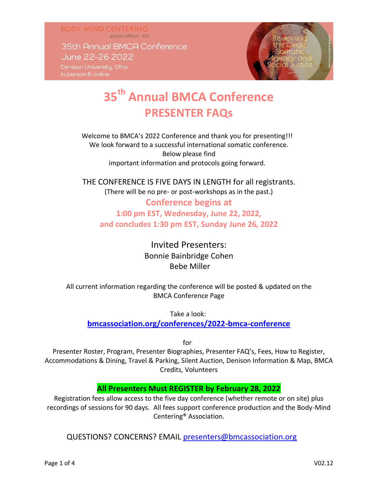association, inc. 35th Annual BMCA Conference June 22-26 2022 Denison University, Ohio

**BODY-MIND CENTERING** 

# **35th Annual BMCA Conference PRESENTER FAQs**

Welcome to BMCA's 2022 Conference and thank you for presenting!!! We look forward to a successful international somatic conference. Below please find important information and protocols going forward.

THE CONFERENCE IS FIVE DAYS IN LENGTH for all registrants. (There will be no pre- or post-workshops as in the past.)

**Conference begins at 1:00 pm EST, Wednesday, June 22, 2022, and concludes 1:30 pm EST, Sunday June 26, 2022** 

> Invited Presenters: Bonnie Bainbridge Cohen Bebe Miller

All current information regarding the conference will be posted & updated on the BMCA Conference Page

Take a look:

**[bmcassociation.org/conferences/2022-bmca-conference](https://bmcassociation.org/conferences/2022-bmca-conference)**

for

Presenter Roster, Program, Presenter Biographies, Presenter FAQ's, Fees, How to Register, Accommodations & Dining, Travel & Parking, Silent Auction, Denison Information & Map, BMCA Credits, Volunteers

### **All Presenters Must REGISTER by February 28, 2022**

Registration fees allow access to the five day conference (whether remote or on site) plus recordings of sessions for 90 days. All fees support conference production and the Body-Mind Centering® Association.

QUESTIONS? CONCERNS? EMAIL [presenters@bmcassociation.org](mailto:presenters@bmcassociation.org)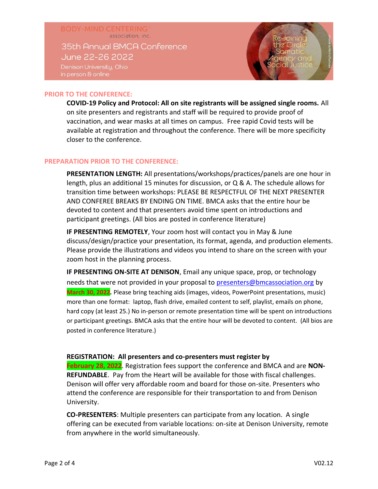## **BODY-MIND CENTERING** association, inc. 35th Annual BMCA Conference June 22-26 2022 Denison University, Ohio

#### **PRIOR TO THE CONFERENCE:**

**COVID-19 Policy and Protocol: All on site registrants will be assigned single rooms.** All on site presenters and registrants and staff will be required to provide proof of vaccination, and wear masks at all times on campus. Free rapid Covid tests will be available at registration and throughout the conference. There will be more specificity closer to the conference.

#### **PREPARATION PRIOR TO THE CONFERENCE:**

**PRESENTATION LENGTH:** All presentations/workshops/practices/panels are one hour in length, plus an additional 15 minutes for discussion, or Q & A. The schedule allows for transition time between workshops: PLEASE BE RESPECTFUL OF THE NEXT PRESENTER AND CONFEREE BREAKS BY ENDING ON TIME. BMCA asks that the entire hour be devoted to content and that presenters avoid time spent on introductions and participant greetings. (All bios are posted in conference literature)

**IF PRESENTING REMOTELY**, Your zoom host will contact you in May & June discuss/design/practice your presentation, its format, agenda, and production elements. Please provide the illustrations and videos you intend to share on the screen with your zoom host in the planning process.

**IF PRESENTING ON-SITE AT DENISON**, Email any unique space, prop, or technology needs that were not provided in your proposal to [presenters@bmcassociation.org](mailto:presenters@bmcassociation.org) by **March 30, 2022***.* Please bring teaching aids (images, videos, PowerPoint presentations, music) more than one format: laptop, flash drive, emailed content to self, playlist, emails on phone, hard copy (at least 25.) No in-person or remote presentation time will be spent on introductions or participant greetings. BMCA asks that the entire hour will be devoted to content. (All bios are posted in conference literature.)

#### **REGISTRATION: All presenters and co-presenters must register by**

**February 28, 2022**. Registration fees support the conference and BMCA and are **NON-REFUNDABLE**. Pay from the Heart will be available for those with fiscal challenges. Denison will offer very affordable room and board for those on-site. Presenters who attend the conference are responsible for their transportation to and from Denison University.

**CO-PRESENTERS**: Multiple presenters can participate from any location. A single offering can be executed from variable locations: on-site at Denison University, remote from anywhere in the world simultaneously.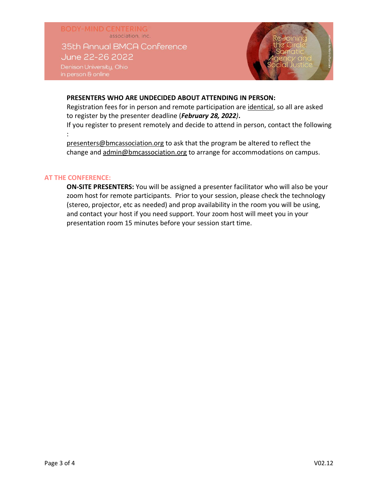**BODY-MIND CENTERING** association, inc. 35th Annual BMCA Conference June 22-26 2022 Denison University, Ohio

#### **PRESENTERS WHO ARE UNDECIDED ABOUT ATTENDING IN PERSON:**

Registration fees for in person and remote participation are identical, so all are asked to register by the presenter deadline (*February 28, 2022)***.** 

If you register to present remotely and decide to attend in person, contact the following :

presenters@bmcassociation.org to ask that the program be altered to reflect the change and admin@bmcassociation.org to arrange for accommodations on campus.

#### **AT THE CONFERENCE:**

**ON-SITE PRESENTERS:** You will be assigned a presenter facilitator who will also be your zoom host for remote participants. Prior to your session, please check the technology (stereo, projector, etc as needed) and prop availability in the room you will be using, and contact your host if you need support. Your zoom host will meet you in your presentation room 15 minutes before your session start time.